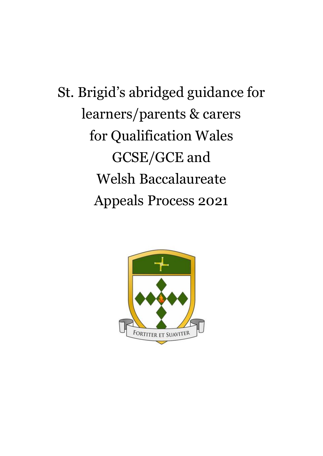St. Brigid's abridged guidance for learners/parents & carers for Qualification Wales GCSE/GCE and Welsh Baccalaureate Appeals Process 2021

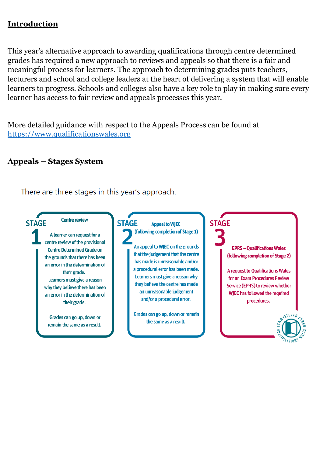## **Introduction**

This year's alternative approach to awarding qualifications through centre determined grades has required a new approach to reviews and appeals so that there is a fair and meaningful process for learners. The approach to determining grades puts teachers, lecturers and school and college leaders at the heart of delivering a system that will enable learners to progress. Schools and colleges also have a key role to play in making sure every learner has access to fair review and appeals processes this year.

More detailed guidance with respect to the Appeals Process can be found at [https://www.qualificationswales.org](https://www.qualificationswales.org/)

#### **Appeals – Stages System**

There are three stages in this year's approach.

**STAGE** 

**Centre review** 

A learner can request for a centre review of the provisional **Centre Determined Grade on** the grounds that there has been an error in the determination of their grade. Learners must give a reason why they believe there has been an error in the determination of their grade.

Grades can go up, down or remain the same as a result.

#### **STAGE Appeal to WJEC** (following completion of Stage 1)

An appeal to WIEC on the grounds that the judgement that the centre has made is unreasonable and/or a procedural error has been made. Learners must give a reason why they believe the centre has made an unreasonable judgement and/or a procedural error.

Grades can go up, down or remain the same as a result.

**EPRS - Qualifications Wales** 

**STAGE** 

(following completion of Stage 2)

**A request to Oualifications Wales** for an Exam Procedures Review Service (EPRS) to review whether WJEC has followed the required procedures.

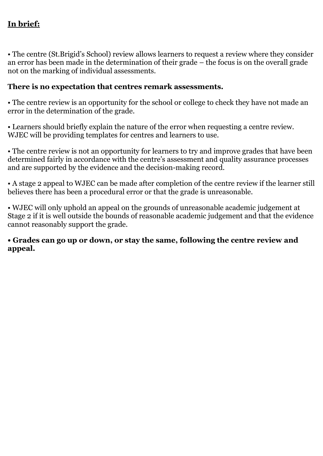# **In brief:**

• The centre (St.Brigid's School) review allows learners to request a review where they consider an error has been made in the determination of their grade – the focus is on the overall grade not on the marking of individual assessments.

### **There is no expectation that centres remark assessments.**

• The centre review is an opportunity for the school or college to check they have not made an error in the determination of the grade.

• Learners should briefly explain the nature of the error when requesting a centre review. WJEC will be providing templates for centres and learners to use.

• The centre review is not an opportunity for learners to try and improve grades that have been determined fairly in accordance with the centre's assessment and quality assurance processes and are supported by the evidence and the decision-making record.

• A stage 2 appeal to WJEC can be made after completion of the centre review if the learner still believes there has been a procedural error or that the grade is unreasonable.

• WJEC will only uphold an appeal on the grounds of unreasonable academic judgement at Stage 2 if it is well outside the bounds of reasonable academic judgement and that the evidence cannot reasonably support the grade.

#### **• Grades can go up or down, or stay the same, following the centre review and appeal.**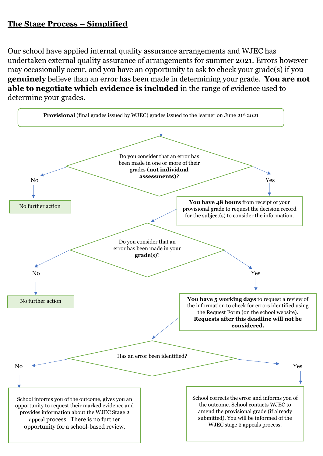## **The Stage Process – Simplified**

Our school have applied internal quality assurance arrangements and WJEC has undertaken external quality assurance of arrangements for summer 2021. Errors however may occasionally occur, and you have an opportunity to ask to check your grade(s) if you **genuinely** believe than an error has been made in determining your grade. **You are not able to negotiate which evidence is included** in the range of evidence used to determine your grades.

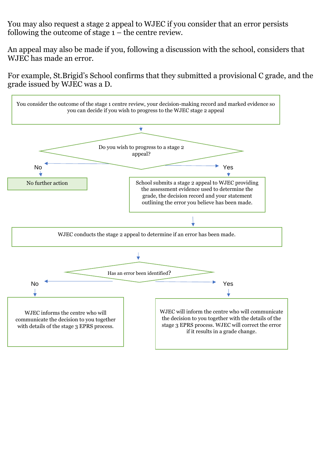You may also request a stage 2 appeal to WJEC if you consider that an error persists following the outcome of stage  $1 -$  the centre review.

An appeal may also be made if you, following a discussion with the school, considers that WJEC has made an error.

For example, St.Brigid's School confirms that they submitted a provisional C grade, and the grade issued by WJEC was a D.